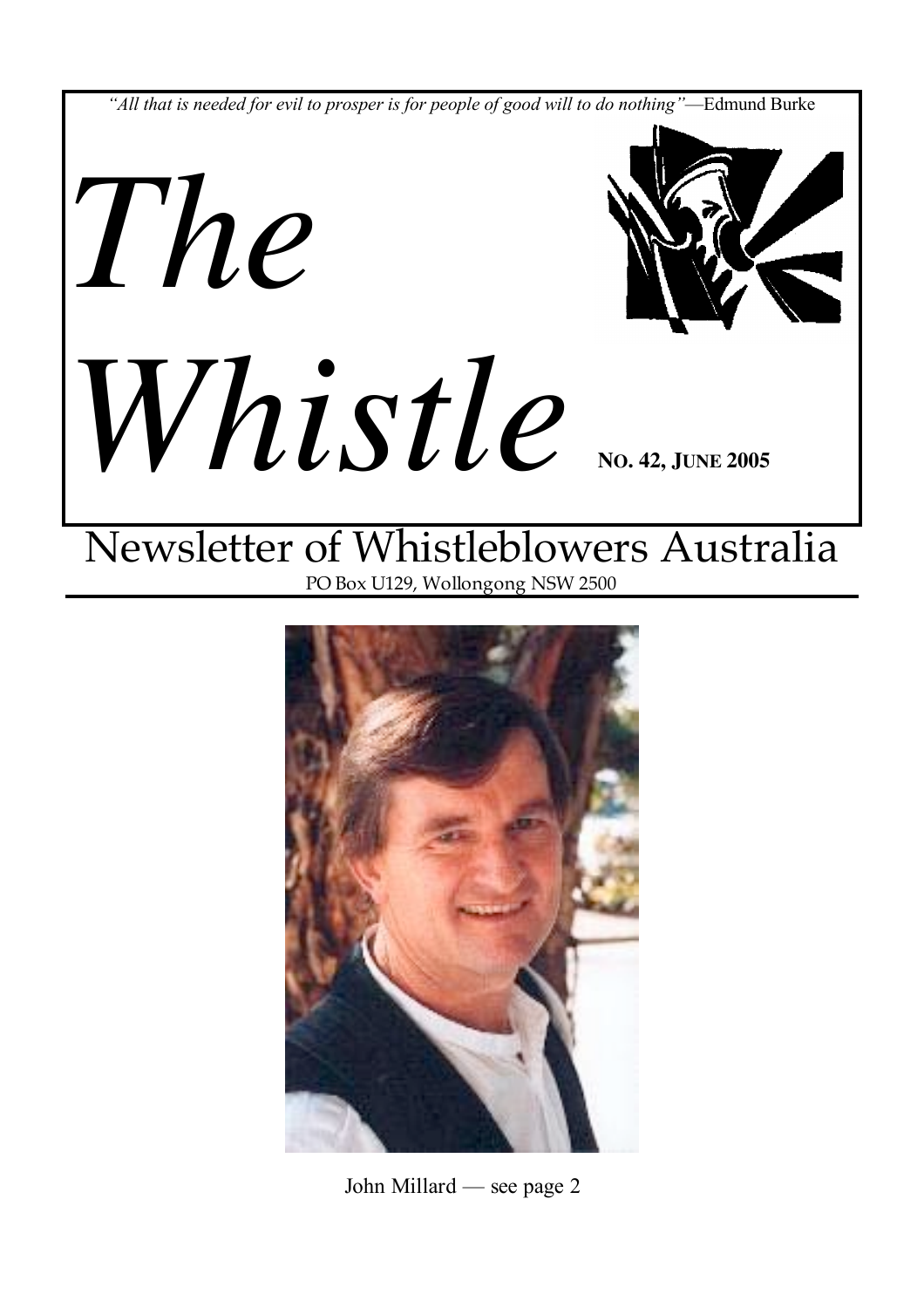

# Newsletter of Whistleblowers Australia PO Box U129, Wollongong NSW 2500



John Millard — see page 2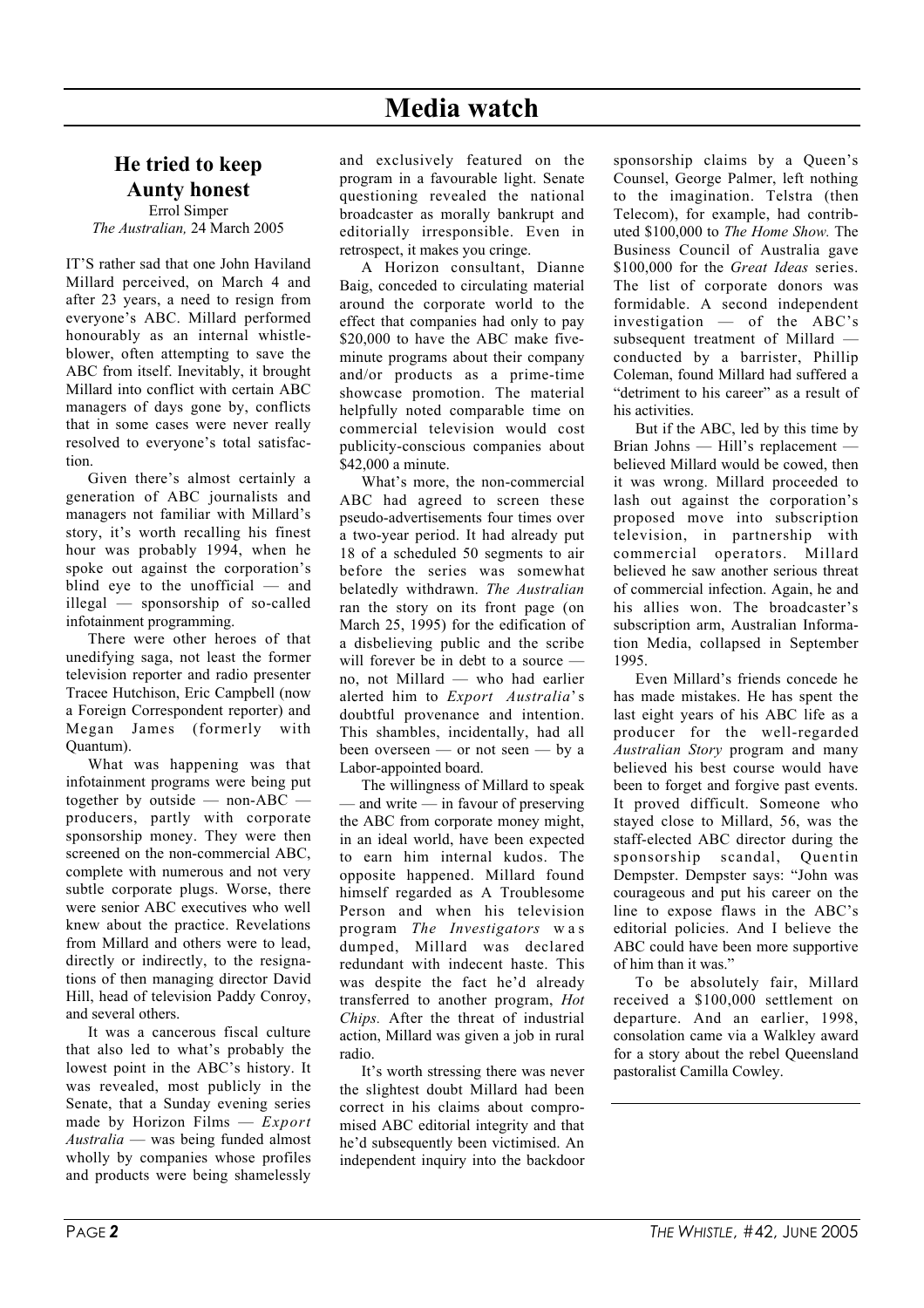# He tried to keep Aunty honest

Errol Simper *The Australian,* 24 March 2005

IT'S rather sad that one John Haviland Millard perceived, on March 4 and after 23 years, a need to resign from everyone's ABC. Millard performed honourably as an internal whistleblower, often attempting to save the ABC from itself. Inevitably, it brought Millard into conflict with certain ABC managers of days gone by, conflicts that in some cases were never really resolved to everyone's total satisfaction.

Given there's almost certainly a generation of ABC journalists and managers not familiar with Millard's story, it's worth recalling his finest hour was probably 1994, when he spoke out against the corporation's blind eye to the unofficial — and illegal — sponsorship of so-called infotainment programming.

There were other heroes of that unedifying saga, not least the former television reporter and radio presenter Tracee Hutchison, Eric Campbell (now a Foreign Correspondent reporter) and Megan James (formerly with Quantum).

What was happening was that infotainment programs were being put together by outside — non-ABC producers, partly with corporate sponsorship money. They were then screened on the non-commercial ABC, complete with numerous and not very subtle corporate plugs. Worse, there were senior ABC executives who well knew about the practice. Revelations from Millard and others were to lead, directly or indirectly, to the resignations of then managing director David Hill, head of television Paddy Conroy, and several others.

It was a cancerous fiscal culture that also led to what's probably the lowest point in the ABC's history. It was revealed, most publicly in the Senate, that a Sunday evening series made by Horizon Films — *Export Australia* — was being funded almost wholly by companies whose profiles and products were being shamelessly and exclusively featured on the program in a favourable light. Senate questioning revealed the national broadcaster as morally bankrupt and editorially irresponsible. Even in retrospect, it makes you cringe.

A Horizon consultant, Dianne Baig, conceded to circulating material around the corporate world to the effect that companies had only to pay \$20,000 to have the ABC make fiveminute programs about their company and/or products as a prime-time showcase promotion. The material helpfully noted comparable time on commercial television would cost publicity-conscious companies about \$42,000 a minute.

What's more, the non-commercial ABC had agreed to screen these pseudo-advertisements four times over a two-year period. It had already put 18 of a scheduled 50 segments to air before the series was somewhat belatedly withdrawn. *The Australian* ran the story on its front page (on March 25, 1995) for the edification of a disbelieving public and the scribe will forever be in debt to a source no, not Millard — who had earlier alerted him to *Export Australia*' s doubtful provenance and intention. This shambles, incidentally, had all been overseen — or not seen — by a Labor-appointed board.

The willingness of Millard to speak — and write — in favour of preserving the ABC from corporate money might, in an ideal world, have been expected to earn him internal kudos. The opposite happened. Millard found himself regarded as A Troublesome Person and when his television program *The Investigators* was dumped, Millard was declared redundant with indecent haste. This was despite the fact he'd already transferred to another program, *Hot Chips.* After the threat of industrial action, Millard was given a job in rural radio.

It's worth stressing there was never the slightest doubt Millard had been correct in his claims about compromised ABC editorial integrity and that he'd subsequently been victimised. An independent inquiry into the backdoor

sponsorship claims by a Queen's Counsel, George Palmer, left nothing to the imagination. Telstra (then Telecom), for example, had contributed \$100,000 to *The Home Show.* The Business Council of Australia gave \$100,000 for the *Great Ideas* series. The list of corporate donors was formidable. A second independent investigation — of the ABC's subsequent treatment of Millard conducted by a barrister, Phillip Coleman, found Millard had suffered a "detriment to his career" as a result of his activities.

But if the ABC, led by this time by Brian Johns — Hill's replacement believed Millard would be cowed, then it was wrong. Millard proceeded to lash out against the corporation's proposed move into subscription television, in partnership with commercial operators. Millard believed he saw another serious threat of commercial infection. Again, he and his allies won. The broadcaster's subscription arm. Australian Information Media, collapsed in September 1995.

Even Millard's friends concede he has made mistakes. He has spent the last eight years of his ABC life as a producer for the well-regarded *Australian Story* program and many believed his best course would have been to forget and forgive past events. It proved difficult. Someone who stayed close to Millard, 56, was the staff-elected ABC director during the sponsorship scandal, Quentin Dempster. Dempster says: "John was courageous and put his career on the line to expose flaws in the ABC's editorial policies. And I believe the ABC could have been more supportive of him than it was."

To be absolutely fair, Millard received a \$100,000 settlement on departure. And an earlier, 1998, consolation came via a Walkley award for a story about the rebel Queensland pastoralist Camilla Cowley.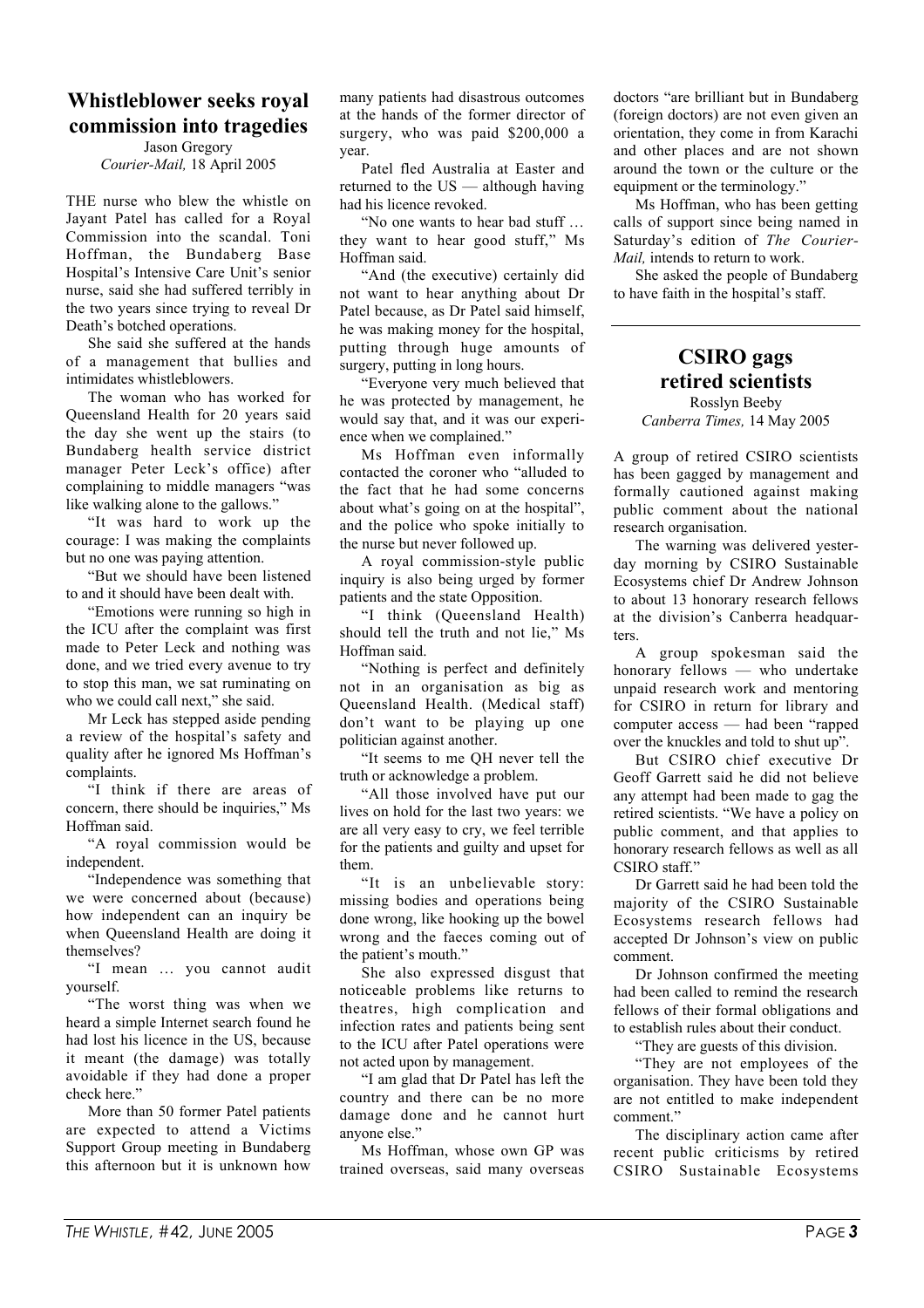# Whistleblower seeks royal commission into tragedies

Jason Gregory *Courier-Mail,* 18 April 2005

THE nurse who blew the whistle on Jayant Patel has called for a Royal Commission into the scandal. Toni Hoffman, the Bundaberg Base Hospital's Intensive Care Unit's senior nurse, said she had suffered terribly in the two years since trying to reveal Dr Death's botched operations.

She said she suffered at the hands of a management that bullies and intimidates whistleblowers.

The woman who has worked for Queensland Health for 20 years said the day she went up the stairs (to Bundaberg health service district manager Peter Leck's office) after complaining to middle managers "was like walking alone to the gallows."

"It was hard to work up the courage: I was making the complaints but no one was paying attention.

"But we should have been listened to and it should have been dealt with.

"Emotions were running so high in the ICU after the complaint was first made to Peter Leck and nothing was done, and we tried every avenue to try to stop this man, we sat ruminating on who we could call next," she said.

Mr Leck has stepped aside pending a review of the hospital's safety and quality after he ignored Ms Hoffman's complaints.

"I think if there are areas of concern, there should be inquiries," Ms Hoffman said.

"A royal commission would be independent.

"Independence was something that we were concerned about (because) how independent can an inquiry be when Queensland Health are doing it themselves?

"I mean … you cannot audit yourself.

"The worst thing was when we heard a simple Internet search found he had lost his licence in the US, because it meant (the damage) was totally avoidable if they had done a proper check here."

More than 50 former Patel patients are expected to attend a Victims Support Group meeting in Bundaberg this afternoon but it is unknown how many patients had disastrous outcomes at the hands of the former director of surgery, who was paid \$200,000 a year.

Patel fled Australia at Easter and returned to the US — although having had his licence revoked.

"No one wants to hear bad stuff … they want to hear good stuff," Ms Hoffman said.

"And (the executive) certainly did not want to hear anything about Dr Patel because, as Dr Patel said himself, he was making money for the hospital, putting through huge amounts of surgery, putting in long hours.

"Everyone very much believed that he was protected by management, he would say that, and it was our experience when we complained."

Ms Hoffman even informally contacted the coroner who "alluded to the fact that he had some concerns about what's going on at the hospital", and the police who spoke initially to the nurse but never followed up.

A royal commission-style public inquiry is also being urged by former patients and the state Opposition.

"I think (Queensland Health) should tell the truth and not lie," Ms Hoffman said.

"Nothing is perfect and definitely not in an organisation as big as Queensland Health. (Medical staff) don't want to be playing up one politician against another.

"It seems to me QH never tell the truth or acknowledge a problem.

"All those involved have put our lives on hold for the last two years: we are all very easy to cry, we feel terrible for the patients and guilty and upset for them.

"It is an unbelievable story: missing bodies and operations being done wrong, like hooking up the bowel wrong and the faeces coming out of the patient's mouth."

She also expressed disgust that noticeable problems like returns to theatres, high complication and infection rates and patients being sent to the ICU after Patel operations were not acted upon by management.

"I am glad that Dr Patel has left the country and there can be no more damage done and he cannot hurt anyone else."

Ms Hoffman, whose own GP was trained overseas, said many overseas

doctors "are brilliant but in Bundaberg (foreign doctors) are not even given an orientation, they come in from Karachi and other places and are not shown around the town or the culture or the equipment or the terminology."

Ms Hoffman, who has been getting calls of support since being named in Saturday's edition of *The Courier-Mail.* intends to return to work.

She asked the people of Bundaberg to have faith in the hospital's staff.

#### CSIRO gags retired scientists Rosslyn Beeby

*Canberra Times,* 14 May 2005

A group of retired CSIRO scientists has been gagged by management and formally cautioned against making public comment about the national research organisation.

The warning was delivered yesterday morning by CSIRO Sustainable Ecosystems chief Dr Andrew Johnson to about 13 honorary research fellows at the division's Canberra headquarters.

A group spokesman said the honorary fellows — who undertake unpaid research work and mentoring for CSIRO in return for library and computer access — had been "rapped over the knuckles and told to shut up".

But CSIRO chief executive Dr Geoff Garrett said he did not believe any attempt had been made to gag the retired scientists. "We have a policy on public comment, and that applies to honorary research fellows as well as all CSIRO staff."

Dr Garrett said he had been told the majority of the CSIRO Sustainable Ecosystems research fellows had accepted Dr Johnson's view on public comment.

Dr Johnson confirmed the meeting had been called to remind the research fellows of their formal obligations and to establish rules about their conduct.

"They are guests of this division.

"They are not employees of the organisation. They have been told they are not entitled to make independent comment."

The disciplinary action came after recent public criticisms by retired CSIRO Sustainable Ecosystems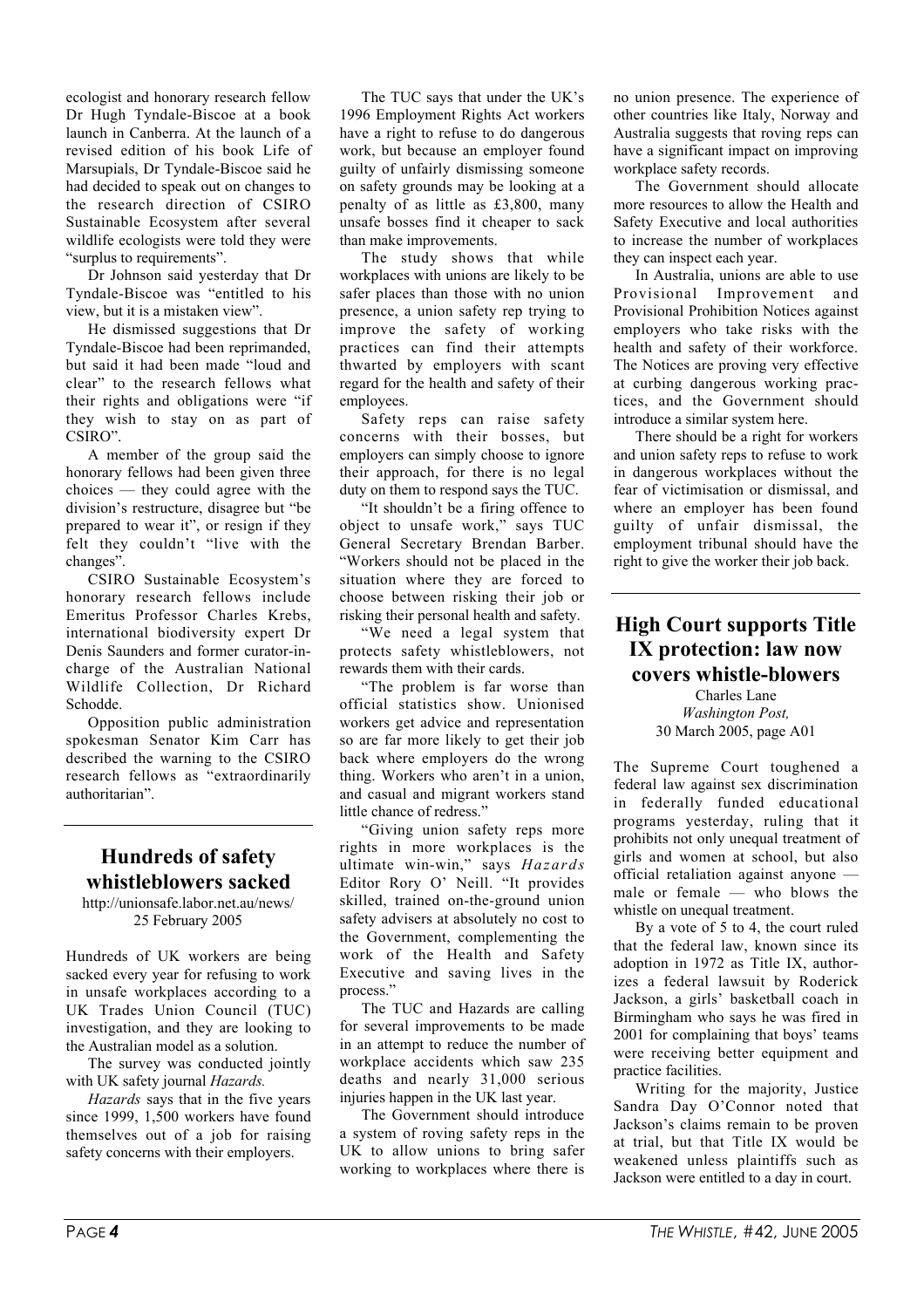ecologist and honorary research fellow Dr Hugh Tyndale-Biscoe at a book launch in Canberra. At the launch of a revised edition of his book Life of Marsupials, Dr Tyndale-Biscoe said he had decided to speak out on changes to the research direction of CSIRO Sustainable Ecosystem after several wildlife ecologists were told they were "surplus to requirements".

Dr Johnson said yesterday that Dr Tyndale-Biscoe was "entitled to his view, but it is a mistaken view".

He dismissed suggestions that Dr Tyndale-Biscoe had been reprimanded, but said it had been made "loud and clear" to the research fellows what their rights and obligations were "if they wish to stay on as part of CSIRO".

A member of the group said the honorary fellows had been given three choices — they could agree with the division's restructure, disagree but "be prepared to wear it", or resign if they felt they couldn't "live with the changes".

CSIRO Sustainable Ecosystem's honorary research fellows include Emeritus Professor Charles Krebs, international biodiversity expert Dr Denis Saunders and former curator-incharge of the Australian National Wildlife Collection, Dr Richard Schodde.

Opposition public administration spokesman Senator Kim Carr has described the warning to the CSIRO research fellows as "extraordinarily authoritarian".

### Hundreds of safety whistleblowers sacked

http://unionsafe.labor.net.au/news/ 25 February 2005

Hundreds of UK workers are being sacked every year for refusing to work in unsafe workplaces according to a UK Trades Union Council (TUC) investigation, and they are looking to the Australian model as a solution.

The survey was conducted jointly with UK safety journal *Hazards.*

*Hazards* says that in the five years since 1999, 1,500 workers have found themselves out of a job for raising safety concerns with their employers.

The TUC says that under the UK's 1996 Employment Rights Act workers have a right to refuse to do dangerous work, but because an employer found guilty of unfairly dismissing someone on safety grounds may be looking at a penalty of as little as £3,800, many unsafe bosses find it cheaper to sack than make improvements.

The study shows that while workplaces with unions are likely to be safer places than those with no union presence, a union safety rep trying to improve the safety of working practices can find their attempts thwarted by employers with scant regard for the health and safety of their employees.

Safety reps can raise safety concerns with their bosses, but employers can simply choose to ignore their approach, for there is no legal duty on them to respond says the TUC.

"It shouldn't be a firing offence to object to unsafe work," says TUC General Secretary Brendan Barber. "Workers should not be placed in the situation where they are forced to choose between risking their job or risking their personal health and safety.

"We need a legal system that protects safety whistleblowers, not rewards them with their cards.

"The problem is far worse than official statistics show. Unionised workers get advice and representation so are far more likely to get their job back where employers do the wrong thing. Workers who aren't in a union, and casual and migrant workers stand little chance of redress.'

"Giving union safety reps more rights in more workplaces is the ultimate win-win," says *Hazards* Editor Rory O' Neill. "It provides skilled, trained on-the-ground union safety advisers at absolutely no cost to the Government, complementing the work of the Health and Safety Executive and saving lives in the process."

The TUC and Hazards are calling for several improvements to be made in an attempt to reduce the number of workplace accidents which saw 235 deaths and nearly 31,000 serious injuries happen in the UK last year.

The Government should introduce a system of roving safety reps in the UK to allow unions to bring safer working to workplaces where there is

no union presence. The experience of other countries like Italy, Norway and Australia suggests that roving reps can have a significant impact on improving workplace safety records.

The Government should allocate more resources to allow the Health and Safety Executive and local authorities to increase the number of workplaces they can inspect each year.

In Australia, unions are able to use Provisional Improvement and Provisional Prohibition Notices against employers who take risks with the health and safety of their workforce. The Notices are proving very effective at curbing dangerous working practices, and the Government should introduce a similar system here.

There should be a right for workers and union safety reps to refuse to work in dangerous workplaces without the fear of victimisation or dismissal, and where an employer has been found guilty of unfair dismissal, the employment tribunal should have the right to give the worker their job back.

### High Court supports Title IX protection: law now covers whistle-blowers

Charles Lane *Washington Post,* 30 March 2005, page A01

The Supreme Court toughened a federal law against sex discrimination in federally funded educational programs yesterday, ruling that it prohibits not only unequal treatment of girls and women at school, but also official retaliation against anyone male or female — who blows the whistle on unequal treatment.

By a vote of 5 to 4, the court ruled that the federal law, known since its adoption in 1972 as Title IX, authorizes a federal lawsuit by Roderick Jackson, a girls' basketball coach in Birmingham who says he was fired in 2001 for complaining that boys' teams were receiving better equipment and practice facilities.

Writing for the majority, Justice Sandra Day O'Connor noted that Jackson's claims remain to be proven at trial, but that Title IX would be weakened unless plaintiffs such as Jackson were entitled to a day in court.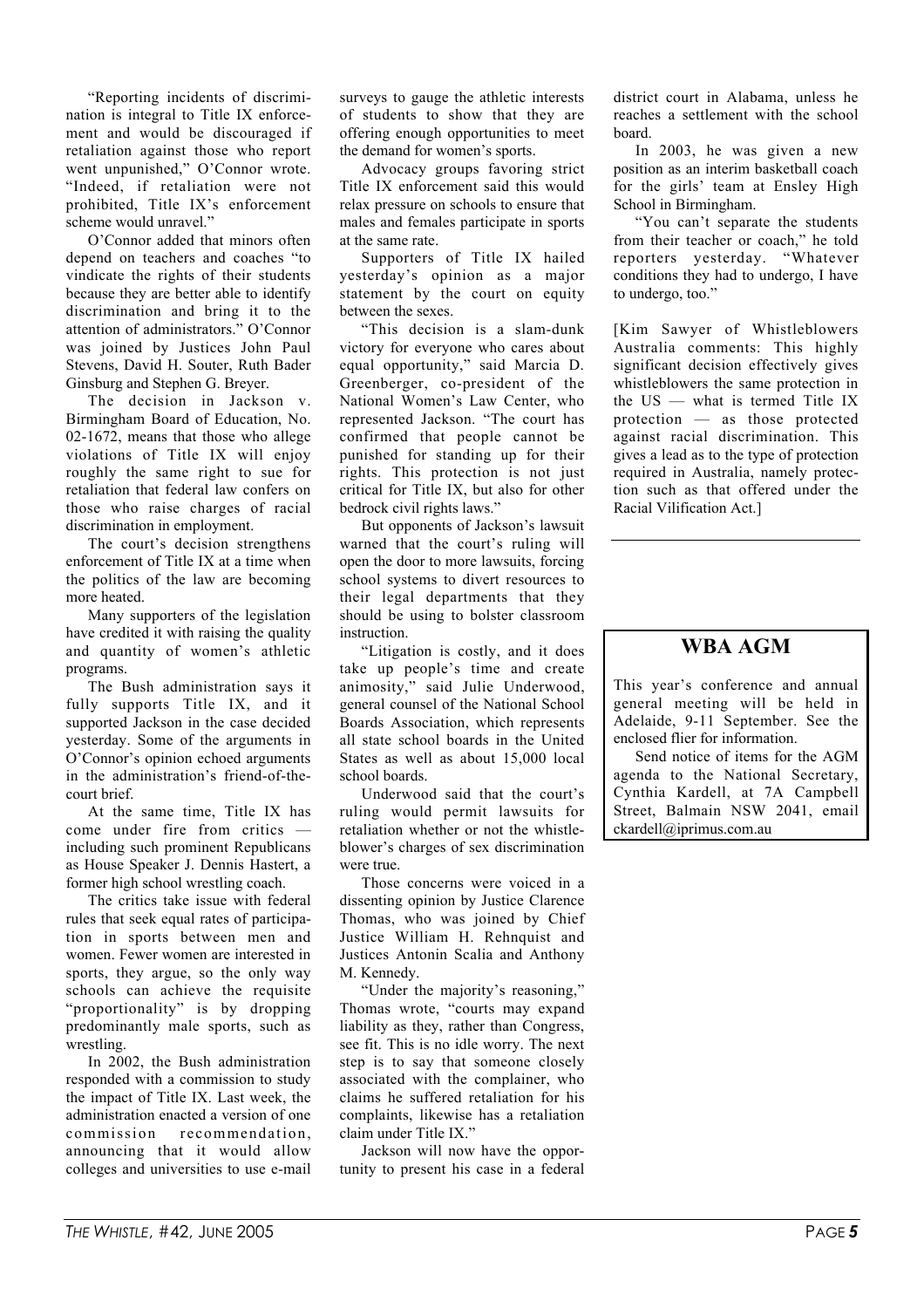"Reporting incidents of discrimination is integral to Title IX enforcement and would be discouraged if retaliation against those who report went unpunished," O'Connor wrote. "Indeed, if retaliation were not prohibited, Title IX's enforcement scheme would unravel."

O'Connor added that minors often depend on teachers and coaches "to vindicate the rights of their students because they are better able to identify discrimination and bring it to the attention of administrators." O'Connor was joined by Justices John Paul Stevens, David H. Souter, Ruth Bader Ginsburg and Stephen G. Breyer.

The decision in Jackson v. Birmingham Board of Education, No. 02-1672, means that those who allege violations of Title IX will enjoy roughly the same right to sue for retaliation that federal law confers on those who raise charges of racial discrimination in employment.

The court's decision strengthens enforcement of Title IX at a time when the politics of the law are becoming more heated.

Many supporters of the legislation have credited it with raising the quality and quantity of women's athletic programs.

The Bush administration says it fully supports Title IX, and it supported Jackson in the case decided yesterday. Some of the arguments in O'Connor's opinion echoed arguments in the administration's friend-of-thecourt brief.

At the same time, Title IX has come under fire from critics including such prominent Republicans as House Speaker J. Dennis Hastert, a former high school wrestling coach.

The critics take issue with federal rules that seek equal rates of participation in sports between men and women. Fewer women are interested in sports, they argue, so the only way schools can achieve the requisite "proportionality" is by dropping predominantly male sports, such as wrestling.

In 2002, the Bush administration responded with a commission to study the impact of Title IX. Last week, the administration enacted a version of one commission recommendation, announcing that it would allow colleges and universities to use e-mail

surveys to gauge the athletic interests of students to show that they are offering enough opportunities to meet the demand for women's sports.

Advocacy groups favoring strict Title IX enforcement said this would relax pressure on schools to ensure that males and females participate in sports at the same rate.

Supporters of Title IX hailed yesterday's opinion as a major statement by the court on equity between the sexes.

"This decision is a slam-dunk victory for everyone who cares about equal opportunity," said Marcia D. Greenberger, co-president of the National Women's Law Center, who represented Jackson. "The court has confirmed that people cannot be punished for standing up for their rights. This protection is not just critical for Title IX, but also for other bedrock civil rights laws."

But opponents of Jackson's lawsuit warned that the court's ruling will open the door to more lawsuits, forcing school systems to divert resources to their legal departments that they should be using to bolster classroom instruction.

"Litigation is costly, and it does take up people's time and create animosity," said Julie Underwood, general counsel of the National School Boards Association, which represents all state school boards in the United States as well as about 15,000 local school boards.

Underwood said that the court's ruling would permit lawsuits for retaliation whether or not the whistleblower's charges of sex discrimination were true.

Those concerns were voiced in a dissenting opinion by Justice Clarence Thomas, who was joined by Chief Justice William H. Rehnquist and Justices Antonin Scalia and Anthony M. Kennedy.

"Under the majority's reasoning," Thomas wrote, "courts may expand liability as they, rather than Congress, see fit. This is no idle worry. The next step is to say that someone closely associated with the complainer, who claims he suffered retaliation for his complaints, likewise has a retaliation claim under Title IX"

Jackson will now have the opportunity to present his case in a federal district court in Alabama, unless he reaches a settlement with the school board.

In 2003, he was given a new position as an interim basketball coach for the girls' team at Ensley High School in Birmingham.

"You can't separate the students from their teacher or coach," he told reporters yesterday. "Whatever conditions they had to undergo, I have to undergo, too."

[Kim Sawyer of Whistleblowers Australia comments: This highly significant decision effectively gives whistleblowers the same protection in the US — what is termed Title IX protection — as those protected against racial discrimination. This gives a lead as to the type of protection required in Australia, namely protection such as that offered under the Racial Vilification Act.]

### WBA AGM

This year's conference and annual general meeting will be held in Adelaide, 9-11 September. See the enclosed flier for information.

Send notice of items for the AGM agenda to the National Secretary, Cynthia Kardell, at 7A Campbell Street, Balmain NSW 2041, email ckardell@iprimus.com.au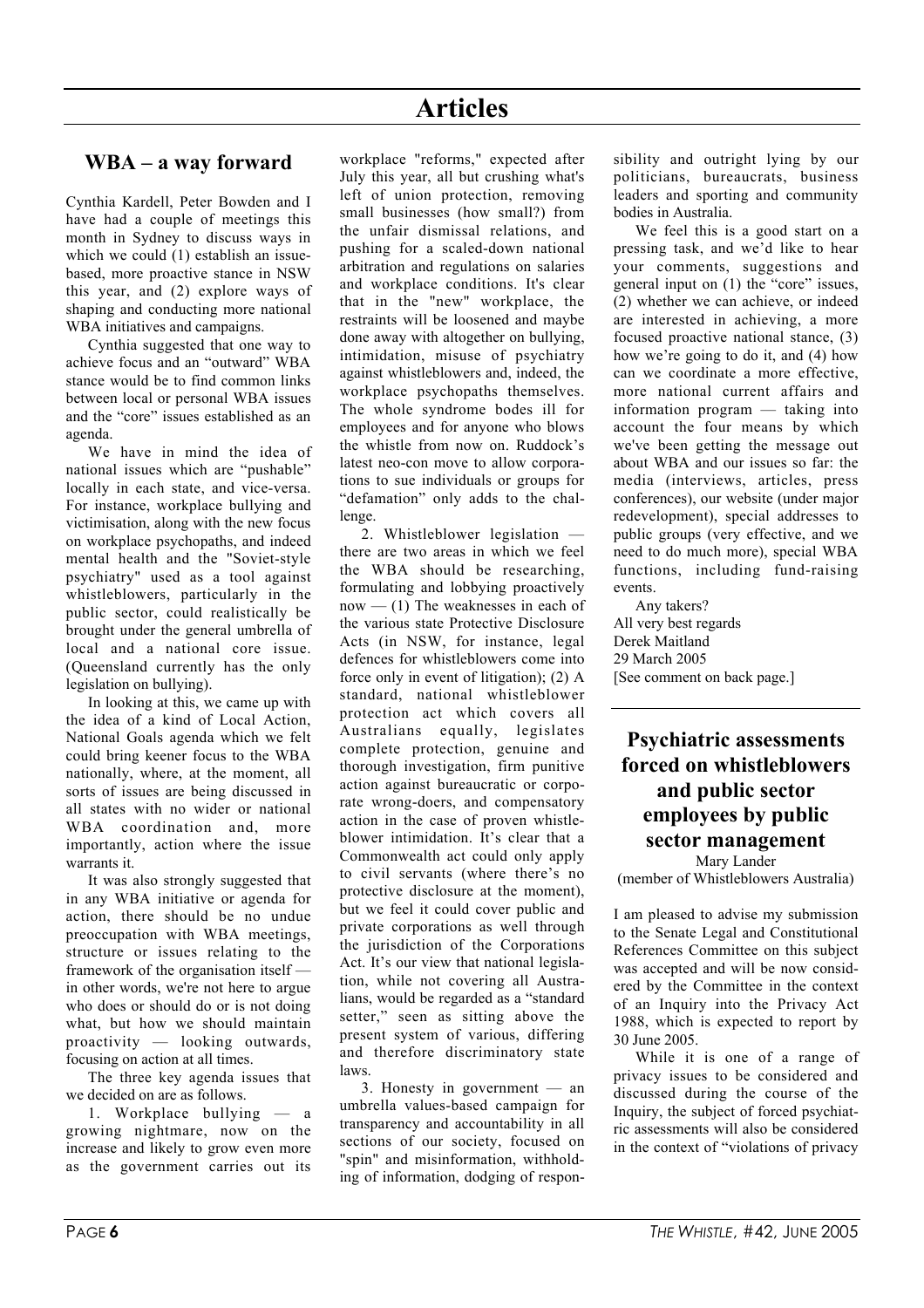### WBA – a way forward

Cynthia Kardell, Peter Bowden and I have had a couple of meetings this month in Sydney to discuss ways in which we could (1) establish an issuebased, more proactive stance in NSW this year, and (2) explore ways of shaping and conducting more national WBA initiatives and campaigns.

Cynthia suggested that one way to achieve focus and an "outward" WBA stance would be to find common links between local or personal WBA issues and the "core" issues established as an agenda.

We have in mind the idea of national issues which are "pushable" locally in each state, and vice-versa. For instance, workplace bullying and victimisation, along with the new focus on workplace psychopaths, and indeed mental health and the "Soviet-style psychiatry" used as a tool against whistleblowers, particularly in the public sector, could realistically be brought under the general umbrella of local and a national core issue. (Queensland currently has the only legislation on bullying).

In looking at this, we came up with the idea of a kind of Local Action, National Goals agenda which we felt could bring keener focus to the WBA nationally, where, at the moment, all sorts of issues are being discussed in all states with no wider or national WBA coordination and, more importantly, action where the issue warrants it.

It was also strongly suggested that in any WBA initiative or agenda for action, there should be no undue preoccupation with WBA meetings, structure or issues relating to the framework of the organisation itself in other words, we're not here to argue who does or should do or is not doing what, but how we should maintain proactivity — looking outwards, focusing on action at all times.

The three key agenda issues that we decided on are as follows.

1. Workplace bullying — a growing nightmare, now on the increase and likely to grow even more as the government carries out its

workplace "reforms," expected after July this year, all but crushing what's left of union protection, removing small businesses (how small?) from the unfair dismissal relations, and pushing for a scaled-down national arbitration and regulations on salaries and workplace conditions. It's clear that in the "new" workplace, the restraints will be loosened and maybe done away with altogether on bullying, intimidation, misuse of psychiatry against whistleblowers and, indeed, the workplace psychopaths themselves. The whole syndrome bodes ill for employees and for anyone who blows the whistle from now on. Ruddock's latest neo-con move to allow corporations to sue individuals or groups for "defamation" only adds to the challenge.

2. Whistleblower legislation there are two areas in which we feel the WBA should be researching, formulating and lobbying proactively  $now - (1)$  The weaknesses in each of the various state Protective Disclosure Acts (in NSW, for instance, legal defences for whistleblowers come into force only in event of litigation); (2) A standard, national whistleblower protection act which covers all Australians equally, legislates complete protection, genuine and thorough investigation, firm punitive action against bureaucratic or corporate wrong-doers, and compensatory action in the case of proven whistleblower intimidation. It's clear that a Commonwealth act could only apply to civil servants (where there's no protective disclosure at the moment), but we feel it could cover public and private corporations as well through the jurisdiction of the Corporations Act. It's our view that national legislation, while not covering all Australians, would be regarded as a "standard setter," seen as sitting above the present system of various, differing and therefore discriminatory state laws.

3. Honesty in government — an umbrella values-based campaign for transparency and accountability in all sections of our society, focused on "spin" and misinformation, withholding of information, dodging of responsibility and outright lying by our politicians, bureaucrats, business leaders and sporting and community bodies in Australia.

We feel this is a good start on a pressing task, and we'd like to hear your comments, suggestions and general input on (1) the "core" issues, (2) whether we can achieve, or indeed are interested in achieving, a more focused proactive national stance, (3) how we're going to do it, and (4) how can we coordinate a more effective, more national current affairs and information program — taking into account the four means by which we've been getting the message out about WBA and our issues so far: the media (interviews, articles, press conferences), our website (under major redevelopment), special addresses to public groups (very effective, and we need to do much more), special WBA functions, including fund-raising events.

Any takers? All very best regards Derek Maitland 29 March 2005 [See comment on back page.]

# Psychiatric assessments forced on whistleblowers and public sector employees by public sector management

Mary Lander (member of Whistleblowers Australia)

I am pleased to advise my submission to the Senate Legal and Constitutional References Committee on this subject was accepted and will be now considered by the Committee in the context of an Inquiry into the Privacy Act 1988, which is expected to report by 30 June 2005.

While it is one of a range of privacy issues to be considered and discussed during the course of the Inquiry, the subject of forced psychiatric assessments will also be considered in the context of "violations of privacy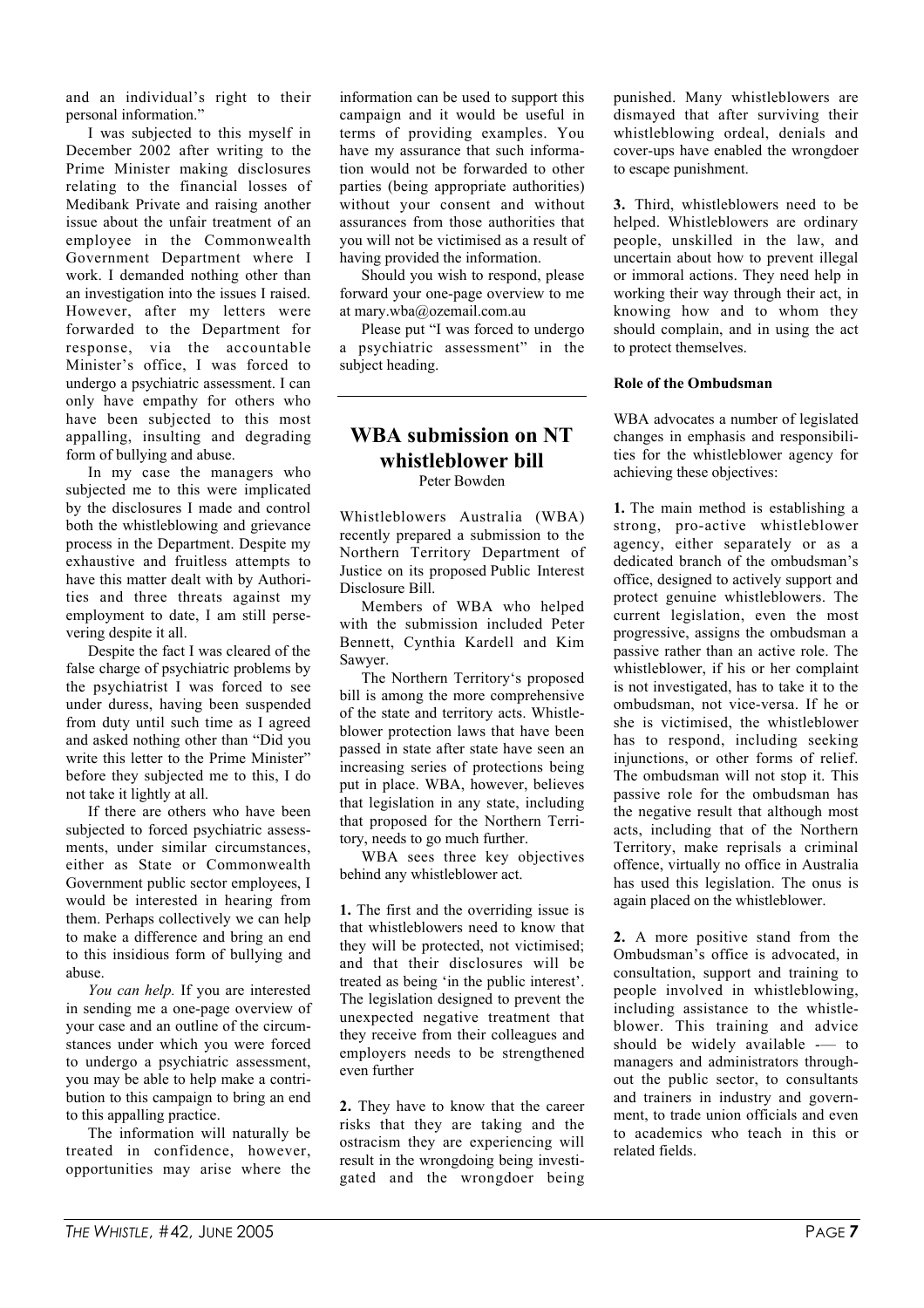and an individual's right to their personal information."

I was subjected to this myself in December 2002 after writing to the Prime Minister making disclosures relating to the financial losses of Medibank Private and raising another issue about the unfair treatment of an employee in the Commonwealth Government Department where I work. I demanded nothing other than an investigation into the issues I raised. However, after my letters were forwarded to the Department for response, via the accountable Minister's office, I was forced to undergo a psychiatric assessment. I can only have empathy for others who have been subjected to this most appalling, insulting and degrading form of bullying and abuse.

In my case the managers who subjected me to this were implicated by the disclosures I made and control both the whistleblowing and grievance process in the Department. Despite my exhaustive and fruitless attempts to have this matter dealt with by Authorities and three threats against my employment to date, I am still persevering despite it all.

Despite the fact I was cleared of the false charge of psychiatric problems by the psychiatrist I was forced to see under duress, having been suspended from duty until such time as I agreed and asked nothing other than "Did you write this letter to the Prime Minister" before they subjected me to this, I do not take it lightly at all.

If there are others who have been subjected to forced psychiatric assessments, under similar circumstances, either as State or Commonwealth Government public sector employees, I would be interested in hearing from them. Perhaps collectively we can help to make a difference and bring an end to this insidious form of bullying and abuse.

*You can help.* If you are interested in sending me a one-page overview of your case and an outline of the circumstances under which you were forced to undergo a psychiatric assessment, you may be able to help make a contribution to this campaign to bring an end to this appalling practice.

The information will naturally be treated in confidence, however, opportunities may arise where the information can be used to support this campaign and it would be useful in terms of providing examples. You have my assurance that such information would not be forwarded to other parties (being appropriate authorities) without your consent and without assurances from those authorities that you will not be victimised as a result of having provided the information.

Should you wish to respond, please forward your one-page overview to me at mary.wba@ozemail.com.au

Please put "I was forced to undergo a psychiatric assessment" in the subject heading.

#### WBA submission on NT whistleblower bill Peter Bowden

Whistleblowers Australia (WBA) recently prepared a submission to the Northern Territory Department of Justice on its proposed Public Interest Disclosure Bill.

Members of WBA who helped with the submission included Peter Bennett, Cynthia Kardell and Kim Sawyer.

The Northern Territory's proposed bill is among the more comprehensive of the state and territory acts. Whistleblower protection laws that have been passed in state after state have seen an increasing series of protections being put in place. WBA, however, believes that legislation in any state, including that proposed for the Northern Territory, needs to go much further.

WBA sees three key objectives behind any whistleblower act.

1. The first and the overriding issue is that whistleblowers need to know that they will be protected, not victimised; and that their disclosures will be treated as being 'in the public interest'. The legislation designed to prevent the unexpected negative treatment that they receive from their colleagues and employers needs to be strengthened even further

2. They have to know that the career risks that they are taking and the ostracism they are experiencing will result in the wrongdoing being investigated and the wrongdoer being punished. Many whistleblowers are dismayed that after surviving their whistleblowing ordeal, denials and cover-ups have enabled the wrongdoer to escape punishment.

3. Third, whistleblowers need to be helped. Whistleblowers are ordinary people, unskilled in the law, and uncertain about how to prevent illegal or immoral actions. They need help in working their way through their act, in knowing how and to whom they should complain, and in using the act to protect themselves.

#### Role of the Ombudsman

WBA advocates a number of legislated changes in emphasis and responsibilities for the whistleblower agency for achieving these objectives:

1. The main method is establishing a strong, pro-active whistleblower agency, either separately or as a dedicated branch of the ombudsman's office, designed to actively support and protect genuine whistleblowers. The current legislation, even the most progressive, assigns the ombudsman a passive rather than an active role. The whistleblower, if his or her complaint is not investigated, has to take it to the ombudsman, not vice-versa. If he or she is victimised, the whistleblower has to respond, including seeking injunctions, or other forms of relief. The ombudsman will not stop it. This passive role for the ombudsman has the negative result that although most acts, including that of the Northern Territory, make reprisals a criminal offence, virtually no office in Australia has used this legislation. The onus is again placed on the whistleblower.

2. A more positive stand from the Ombudsman's office is advocated, in consultation, support and training to people involved in whistleblowing, including assistance to the whistleblower. This training and advice should be widely available -- to managers and administrators throughout the public sector, to consultants and trainers in industry and government, to trade union officials and even to academics who teach in this or related fields.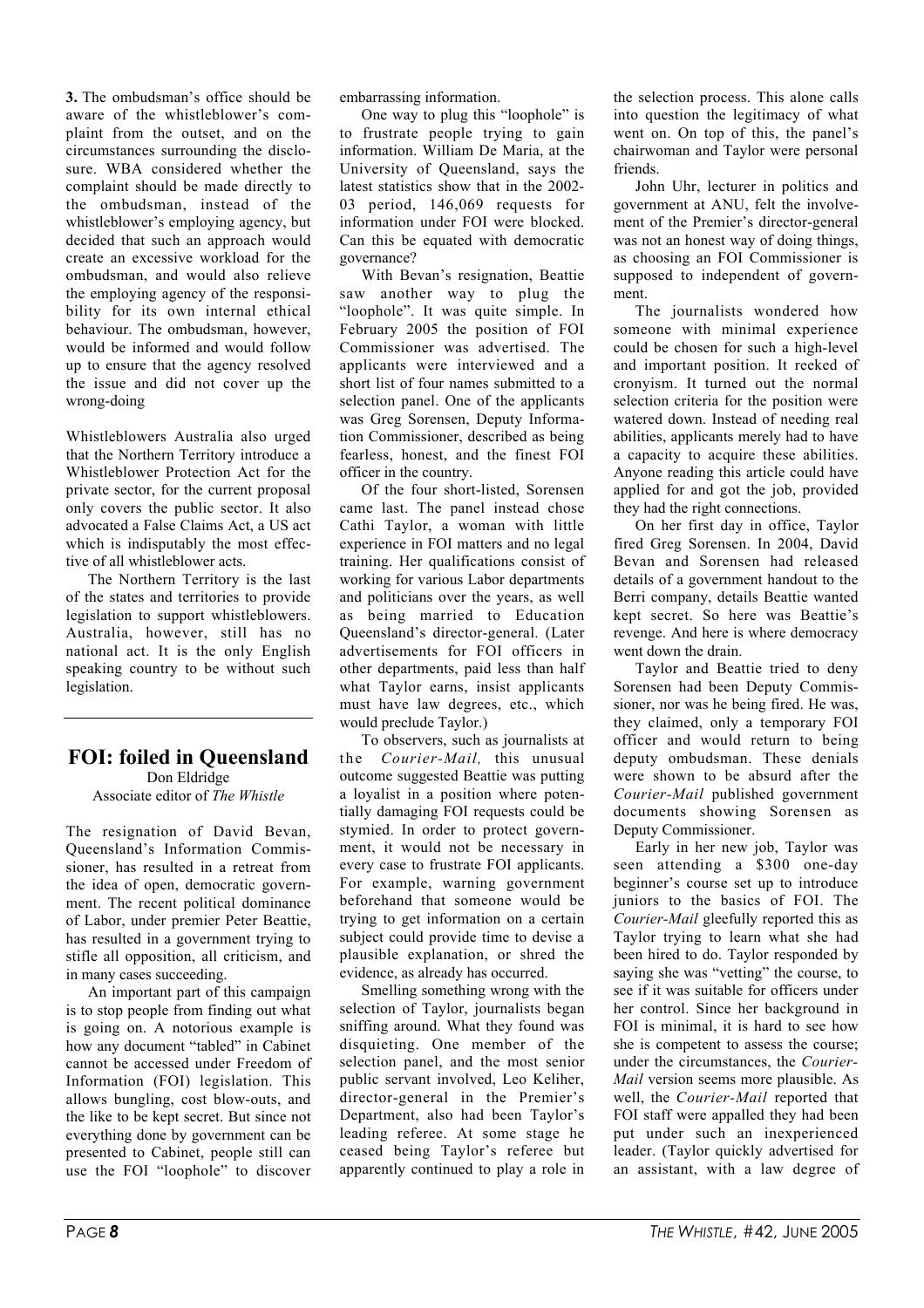3. The ombudsman's office should be aware of the whistleblower's complaint from the outset, and on the circumstances surrounding the disclosure. WBA considered whether the complaint should be made directly to the ombudsman, instead of the whistleblower's employing agency, but decided that such an approach would create an excessive workload for the ombudsman, and would also relieve the employing agency of the responsibility for its own internal ethical behaviour. The ombudsman, however, would be informed and would follow up to ensure that the agency resolved the issue and did not cover up the wrong-doing

Whistleblowers Australia also urged that the Northern Territory introduce a Whistleblower Protection Act for the private sector, for the current proposal only covers the public sector. It also advocated a False Claims Act, a US act which is indisputably the most effective of all whistleblower acts.

The Northern Territory is the last of the states and territories to provide legislation to support whistleblowers. Australia, however, still has no national act. It is the only English speaking country to be without such legislation.

# FOI: foiled in Queensland

Don Eldridge Associate editor of *The Whistle*

The resignation of David Bevan, Queensland's Information Commissioner, has resulted in a retreat from the idea of open, democratic government. The recent political dominance of Labor, under premier Peter Beattie, has resulted in a government trying to stifle all opposition, all criticism, and in many cases succeeding.

An important part of this campaign is to stop people from finding out what is going on. A notorious example is how any document "tabled" in Cabinet cannot be accessed under Freedom of Information (FOI) legislation. This allows bungling, cost blow-outs, and the like to be kept secret. But since not everything done by government can be presented to Cabinet, people still can use the FOI "loophole" to discover

embarrassing information.

One way to plug this "loophole" is to frustrate people trying to gain information. William De Maria, at the University of Queensland, says the latest statistics show that in the 2002- 03 period, 146,069 requests for information under FOI were blocked. Can this be equated with democratic governance?

With Bevan's resignation, Beattie saw another way to plug the "loophole". It was quite simple. In February 2005 the position of FOI Commissioner was advertised. The applicants were interviewed and a short list of four names submitted to a selection panel. One of the applicants was Greg Sorensen, Deputy Information Commissioner, described as being fearless, honest, and the finest FOI officer in the country.

Of the four short-listed, Sorensen came last. The panel instead chose Cathi Taylor, a woman with little experience in FOI matters and no legal training. Her qualifications consist of working for various Labor departments and politicians over the years, as well as being married to Education Queensland's director-general. (Later advertisements for FOI officers in other departments, paid less than half what Taylor earns, insist applicants must have law degrees, etc., which would preclude Taylor.)

To observers, such as journalists at the *Courier-Mail,* this unusual outcome suggested Beattie was putting a loyalist in a position where potentially damaging FOI requests could be stymied. In order to protect government, it would not be necessary in every case to frustrate FOI applicants. For example, warning government beforehand that someone would be trying to get information on a certain subject could provide time to devise a plausible explanation, or shred the evidence, as already has occurred.

Smelling something wrong with the selection of Taylor, journalists began sniffing around. What they found was disquieting. One member of the selection panel, and the most senior public servant involved, Leo Keliher, director-general in the Premier's Department, also had been Taylor's leading referee. At some stage he ceased being Taylor's referee but apparently continued to play a role in the selection process. This alone calls into question the legitimacy of what went on. On top of this, the panel's chairwoman and Taylor were personal friends.

John Uhr, lecturer in politics and government at ANU, felt the involvement of the Premier's director-general was not an honest way of doing things, as choosing an FOI Commissioner is supposed to independent of government.

The journalists wondered how someone with minimal experience could be chosen for such a high-level and important position. It reeked of cronyism. It turned out the normal selection criteria for the position were watered down. Instead of needing real abilities, applicants merely had to have a capacity to acquire these abilities. Anyone reading this article could have applied for and got the job, provided they had the right connections.

On her first day in office, Taylor fired Greg Sorensen. In 2004, David Bevan and Sorensen had released details of a government handout to the Berri company, details Beattie wanted kept secret. So here was Beattie's revenge. And here is where democracy went down the drain

Taylor and Beattie tried to deny Sorensen had been Deputy Commissioner, nor was he being fired. He was, they claimed, only a temporary FOI officer and would return to being deputy ombudsman. These denials were shown to be absurd after the *Courier-Mail* published government documents showing Sorensen as Deputy Commissioner.

Early in her new job, Taylor was seen attending a \$300 one-day beginner's course set up to introduce juniors to the basics of FOI. The *Courier-Mail* gleefully reported this as Taylor trying to learn what she had been hired to do. Taylor responded by saying she was "vetting" the course, to see if it was suitable for officers under her control. Since her background in FOI is minimal, it is hard to see how she is competent to assess the course; under the circumstances, the *Courier-Mail* version seems more plausible. As well, the *Courier-Mail* reported that FOI staff were appalled they had been put under such an inexperienced leader. (Taylor quickly advertised for an assistant, with a law degree of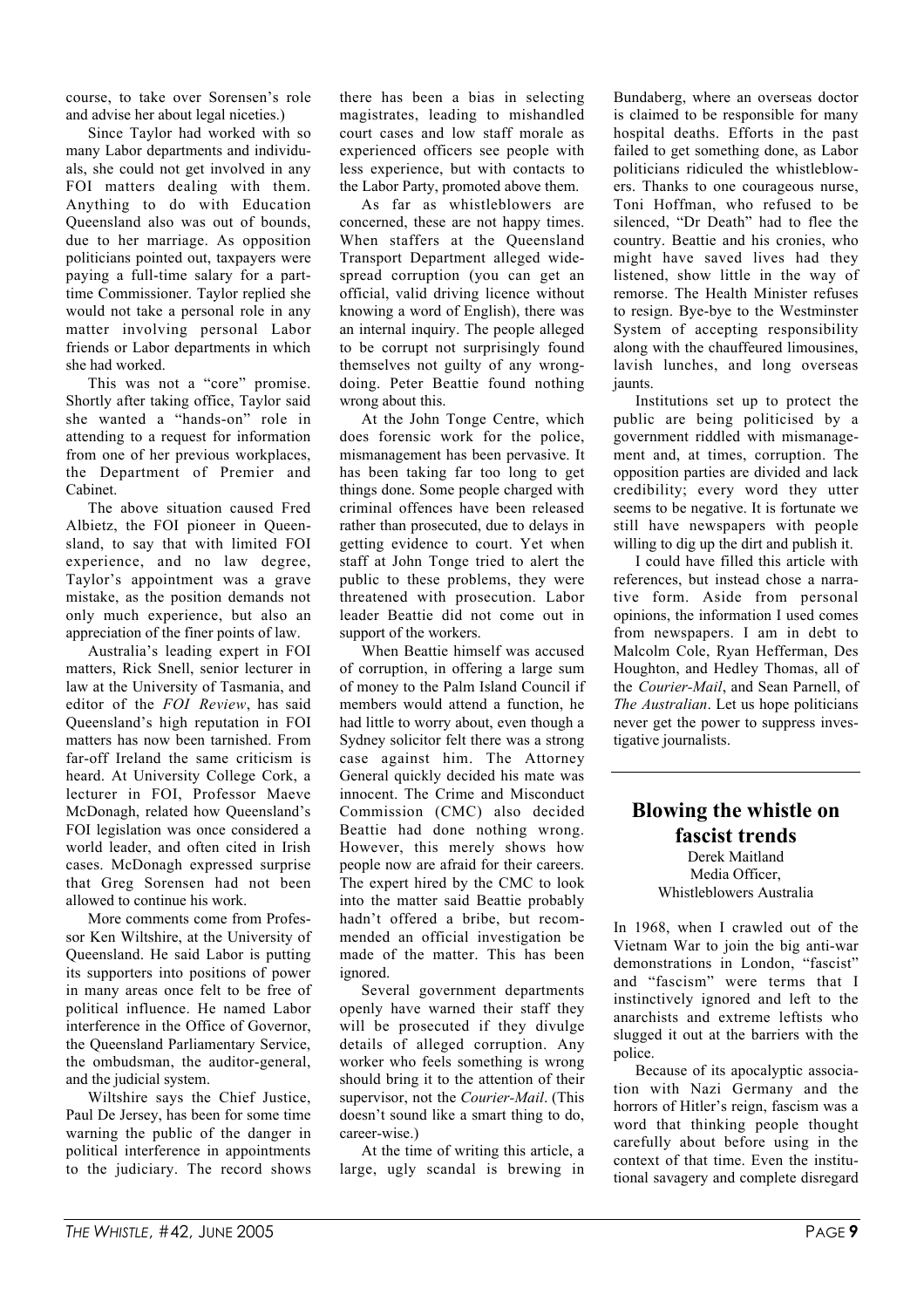course, to take over Sorensen's role and advise her about legal niceties.)

Since Taylor had worked with so many Labor departments and individuals, she could not get involved in any FOI matters dealing with them. Anything to do with Education Queensland also was out of bounds, due to her marriage. As opposition politicians pointed out, taxpayers were paying a full-time salary for a parttime Commissioner. Taylor replied she would not take a personal role in any matter involving personal Labor friends or Labor departments in which she had worked.

This was not a "core" promise. Shortly after taking office, Taylor said she wanted a "hands-on" role in attending to a request for information from one of her previous workplaces, the Department of Premier and Cabinet.

The above situation caused Fred Albietz, the FOI pioneer in Queensland, to say that with limited FOI experience, and no law degree, Taylor's appointment was a grave mistake, as the position demands not only much experience, but also an appreciation of the finer points of law.

Australia's leading expert in FOI matters, Rick Snell, senior lecturer in law at the University of Tasmania, and editor of the *FOI Review*, has said Queensland's high reputation in FOI matters has now been tarnished. From far-off Ireland the same criticism is heard. At University College Cork, a lecturer in FOI, Professor Maeve McDonagh, related how Queensland's FOI legislation was once considered a world leader, and often cited in Irish cases. McDonagh expressed surprise that Greg Sorensen had not been allowed to continue his work.

More comments come from Professor Ken Wiltshire, at the University of Queensland. He said Labor is putting its supporters into positions of power in many areas once felt to be free of political influence. He named Labor interference in the Office of Governor, the Queensland Parliamentary Service, the ombudsman, the auditor-general, and the judicial system.

Wiltshire says the Chief Justice, Paul De Jersey, has been for some time warning the public of the danger in political interference in appointments to the judiciary. The record shows

there has been a bias in selecting magistrates, leading to mishandled court cases and low staff morale as experienced officers see people with less experience, but with contacts to the Labor Party, promoted above them.

As far as whistleblowers are concerned, these are not happy times. When staffers at the Queensland Transport Department alleged widespread corruption (you can get an official, valid driving licence without knowing a word of English), there was an internal inquiry. The people alleged to be corrupt not surprisingly found themselves not guilty of any wrongdoing. Peter Beattie found nothing wrong about this.

At the John Tonge Centre, which does forensic work for the police, mismanagement has been pervasive. It has been taking far too long to get things done. Some people charged with criminal offences have been released rather than prosecuted, due to delays in getting evidence to court. Yet when staff at John Tonge tried to alert the public to these problems, they were threatened with prosecution. Labor leader Beattie did not come out in support of the workers.

When Beattie himself was accused of corruption, in offering a large sum of money to the Palm Island Council if members would attend a function, he had little to worry about, even though a Sydney solicitor felt there was a strong case against him. The Attorney General quickly decided his mate was innocent. The Crime and Misconduct Commission (CMC) also decided Beattie had done nothing wrong. However, this merely shows how people now are afraid for their careers. The expert hired by the CMC to look into the matter said Beattie probably hadn't offered a bribe, but recommended an official investigation be made of the matter. This has been ignored.

Several government departments openly have warned their staff they will be prosecuted if they divulge details of alleged corruption. Any worker who feels something is wrong should bring it to the attention of their supervisor, not the *Courier-Mail*. (This doesn't sound like a smart thing to do, career-wise.)

At the time of writing this article, a large, ugly scandal is brewing in

Bundaberg, where an overseas doctor is claimed to be responsible for many hospital deaths. Efforts in the past failed to get something done, as Labor politicians ridiculed the whistleblowers. Thanks to one courageous nurse, Toni Hoffman, who refused to be silenced, "Dr Death" had to flee the country. Beattie and his cronies, who might have saved lives had they listened, show little in the way of remorse. The Health Minister refuses to resign. Bye-bye to the Westminster System of accepting responsibility along with the chauffeured limousines, lavish lunches, and long overseas jaunts.

Institutions set up to protect the public are being politicised by a government riddled with mismanagement and, at times, corruption. The opposition parties are divided and lack credibility; every word they utter seems to be negative. It is fortunate we still have newspapers with people willing to dig up the dirt and publish it.

I could have filled this article with references, but instead chose a narrative form. Aside from personal opinions, the information I used comes from newspapers. I am in debt to Malcolm Cole, Ryan Hefferman, Des Houghton, and Hedley Thomas, all of the *Courier-Mail*, and Sean Parnell, of *The Australian*. Let us hope politicians never get the power to suppress investigative journalists.

## Blowing the whistle on fascist trends

Derek Maitland Media Officer Whistleblowers Australia

In 1968, when I crawled out of the Vietnam War to join the big anti-war demonstrations in London, "fascist" and "fascism" were terms that I instinctively ignored and left to the anarchists and extreme leftists who slugged it out at the barriers with the police.

Because of its apocalyptic association with Nazi Germany and the horrors of Hitler's reign, fascism was a word that thinking people thought carefully about before using in the context of that time. Even the institutional savagery and complete disregard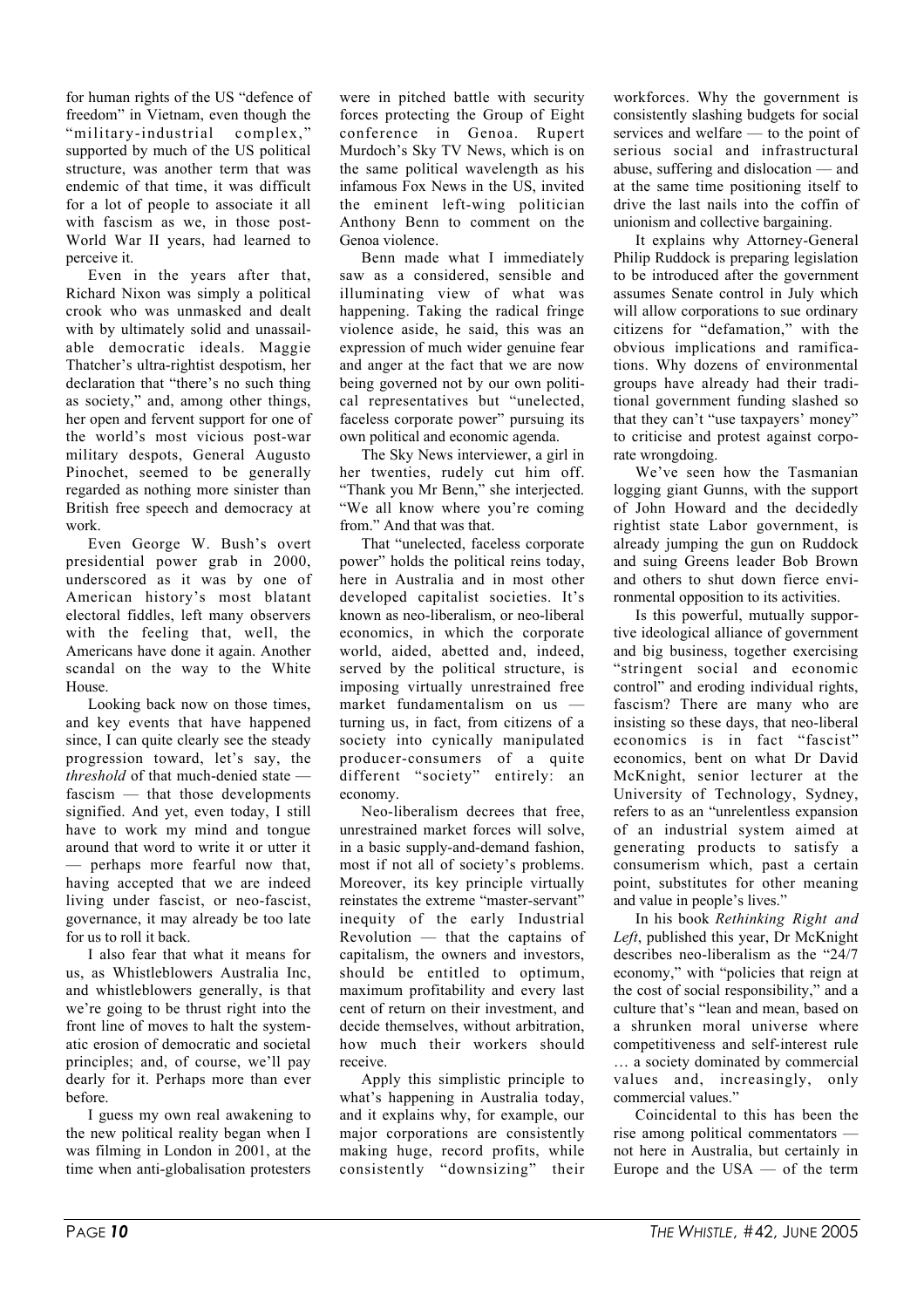for human rights of the US "defence of freedom" in Vietnam, even though the "military-industrial complex," supported by much of the US political structure, was another term that was endemic of that time, it was difficult for a lot of people to associate it all with fascism as we, in those post-World War II years, had learned to perceive it.

Even in the years after that, Richard Nixon was simply a political crook who was unmasked and dealt with by ultimately solid and unassailable democratic ideals. Maggie Thatcher's ultra-rightist despotism, her declaration that "there's no such thing as society," and, among other things, her open and fervent support for one of the world's most vicious post-war military despots, General Augusto Pinochet, seemed to be generally regarded as nothing more sinister than British free speech and democracy at work.

Even George W. Bush's overt presidential power grab in 2000, underscored as it was by one of American history's most blatant electoral fiddles, left many observers with the feeling that, well, the Americans have done it again. Another scandal on the way to the White House.

Looking back now on those times, and key events that have happened since, I can quite clearly see the steady progression toward, let's say, the *threshold* of that much-denied state fascism — that those developments signified. And yet, even today, I still have to work my mind and tongue around that word to write it or utter it — perhaps more fearful now that, having accepted that we are indeed living under fascist, or neo-fascist, governance, it may already be too late for us to roll it back.

I also fear that what it means for us, as Whistleblowers Australia Inc, and whistleblowers generally, is that we're going to be thrust right into the front line of moves to halt the systematic erosion of democratic and societal principles; and, of course, we'll pay dearly for it. Perhaps more than ever before.

I guess my own real awakening to the new political reality began when I was filming in London in 2001, at the time when anti-globalisation protesters

were in pitched battle with security forces protecting the Group of Eight conference in Genoa. Rupert Murdoch's Sky TV News, which is on the same political wavelength as his infamous Fox News in the US, invited the eminent left-wing politician Anthony Benn to comment on the Genoa violence.

Benn made what I immediately saw as a considered, sensible and illuminating view of what was happening. Taking the radical fringe violence aside, he said, this was an expression of much wider genuine fear and anger at the fact that we are now being governed not by our own political representatives but "unelected, faceless corporate power" pursuing its own political and economic agenda.

The Sky News interviewer, a girl in her twenties, rudely cut him off. "Thank you Mr Benn," she interjected. "We all know where you're coming from." And that was that.

That "unelected, faceless corporate power" holds the political reins today, here in Australia and in most other developed capitalist societies. It's known as neo-liberalism, or neo-liberal economics, in which the corporate world, aided, abetted and, indeed, served by the political structure, is imposing virtually unrestrained free market fundamentalism on us turning us, in fact, from citizens of a society into cynically manipulated producer-consumers of a quite different "society" entirely: an economy.

Neo-liberalism decrees that free, unrestrained market forces will solve, in a basic supply-and-demand fashion, most if not all of society's problems. Moreover, its key principle virtually reinstates the extreme "master-servant" inequity of the early Industrial Revolution — that the captains of capitalism, the owners and investors, should be entitled to optimum, maximum profitability and every last cent of return on their investment, and decide themselves, without arbitration, how much their workers should receive.

Apply this simplistic principle to what's happening in Australia today, and it explains why, for example, our major corporations are consistently making huge, record profits, while consistently "downsizing" their

workforces. Why the government is consistently slashing budgets for social services and welfare — to the point of serious social and infrastructural abuse, suffering and dislocation — and at the same time positioning itself to drive the last nails into the coffin of unionism and collective bargaining.

It explains why Attorney-General Philip Ruddock is preparing legislation to be introduced after the government assumes Senate control in July which will allow corporations to sue ordinary citizens for "defamation," with the obvious implications and ramifications. Why dozens of environmental groups have already had their traditional government funding slashed so that they can't "use taxpayers' money" to criticise and protest against corporate wrongdoing.

We've seen how the Tasmanian logging giant Gunns, with the support of John Howard and the decidedly rightist state Labor government, is already jumping the gun on Ruddock and suing Greens leader Bob Brown and others to shut down fierce environmental opposition to its activities.

Is this powerful, mutually supportive ideological alliance of government and big business, together exercising "stringent social and economic control" and eroding individual rights, fascism? There are many who are insisting so these days, that neo-liberal economics is in fact "fascist" economics, bent on what Dr David McKnight, senior lecturer at the University of Technology, Sydney, refers to as an "unrelentless expansion of an industrial system aimed at generating products to satisfy a consumerism which, past a certain point, substitutes for other meaning and value in people's lives."

In his book *Rethinking Right and Left*, published this year, Dr McKnight describes neo-liberalism as the "24/7 economy," with "policies that reign at the cost of social responsibility," and a culture that's "lean and mean, based on a shrunken moral universe where competitiveness and self-interest rule … a society dominated by commercial values and, increasingly, only commercial values."

Coincidental to this has been the rise among political commentators not here in Australia, but certainly in Europe and the  $USA - of the term$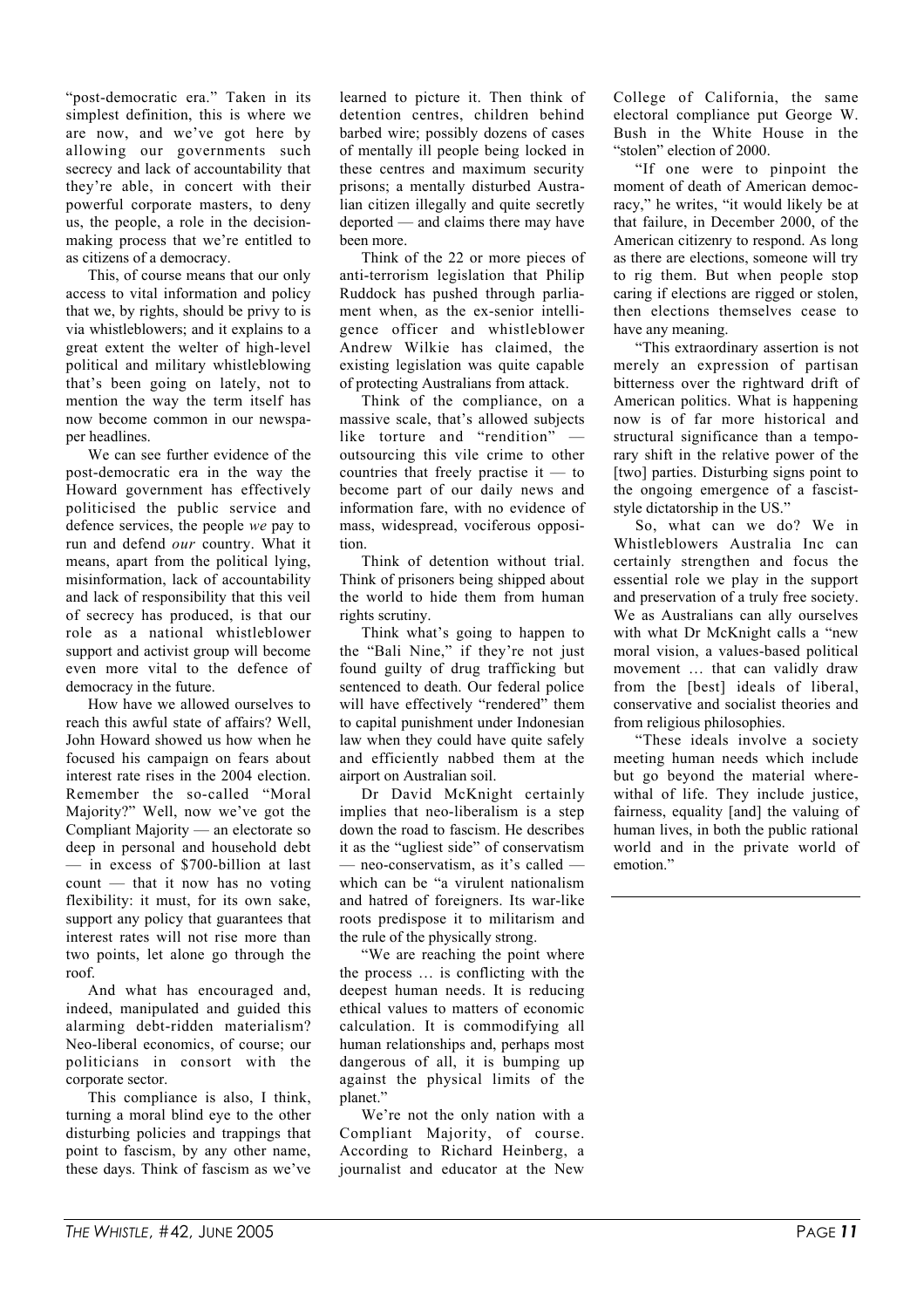"post-democratic era." Taken in its simplest definition, this is where we are now, and we've got here by allowing our governments such secrecy and lack of accountability that they're able, in concert with their powerful corporate masters, to deny us, the people, a role in the decisionmaking process that we're entitled to as citizens of a democracy.

This, of course means that our only access to vital information and policy that we, by rights, should be privy to is via whistleblowers; and it explains to a great extent the welter of high-level political and military whistleblowing that's been going on lately, not to mention the way the term itself has now become common in our newspaper headlines.

We can see further evidence of the post-democratic era in the way the Howard government has effectively politicised the public service and defence services, the people *we* pay to run and defend *our* country. What it means, apart from the political lying, misinformation, lack of accountability and lack of responsibility that this veil of secrecy has produced, is that our role as a national whistleblower support and activist group will become even more vital to the defence of democracy in the future.

How have we allowed ourselves to reach this awful state of affairs? Well, John Howard showed us how when he focused his campaign on fears about interest rate rises in the 2004 election. Remember the so-called "Moral Majority?" Well, now we've got the Compliant Majority — an electorate so deep in personal and household debt — in excess of \$700-billion at last count — that it now has no voting flexibility: it must, for its own sake, support any policy that guarantees that interest rates will not rise more than two points, let alone go through the roof.

And what has encouraged and, indeed, manipulated and guided this alarming debt-ridden materialism? Neo-liberal economics, of course; our politicians in consort with the corporate sector.

This compliance is also, I think, turning a moral blind eye to the other disturbing policies and trappings that point to fascism, by any other name, these days. Think of fascism as we've

learned to picture it. Then think of detention centres, children behind barbed wire; possibly dozens of cases of mentally ill people being locked in these centres and maximum security prisons; a mentally disturbed Australian citizen illegally and quite secretly deported — and claims there may have been more.

Think of the 22 or more pieces of anti-terrorism legislation that Philip Ruddock has pushed through parliament when, as the ex-senior intelligence officer and whistleblower Andrew Wilkie has claimed, the existing legislation was quite capable of protecting Australians from attack.

Think of the compliance, on a massive scale, that's allowed subjects like torture and "rendition" outsourcing this vile crime to other countries that freely practise it — to become part of our daily news and information fare, with no evidence of mass, widespread, vociferous opposition.

Think of detention without trial. Think of prisoners being shipped about the world to hide them from human rights scrutiny.

Think what's going to happen to the "Bali Nine," if they're not just found guilty of drug trafficking but sentenced to death. Our federal police will have effectively "rendered" them to capital punishment under Indonesian law when they could have quite safely and efficiently nabbed them at the airport on Australian soil.

Dr David McKnight certainly implies that neo-liberalism is a step down the road to fascism. He describes it as the "ugliest side" of conservatism — neo-conservatism, as it's called which can be "a virulent nationalism and hatred of foreigners. Its war-like roots predispose it to militarism and the rule of the physically strong.

"We are reaching the point where the process … is conflicting with the deepest human needs. It is reducing ethical values to matters of economic calculation. It is commodifying all human relationships and, perhaps most dangerous of all, it is bumping up against the physical limits of the planet."

We're not the only nation with a Compliant Majority, of course. According to Richard Heinberg, a journalist and educator at the New

College of California, the same electoral compliance put George W. Bush in the White House in the "stolen" election of 2000.

"If one were to pinpoint the moment of death of American democracy," he writes, "it would likely be at that failure, in December 2000, of the American citizenry to respond. As long as there are elections, someone will try to rig them. But when people stop caring if elections are rigged or stolen, then elections themselves cease to have any meaning.

"This extraordinary assertion is not merely an expression of partisan bitterness over the rightward drift of American politics. What is happening now is of far more historical and structural significance than a temporary shift in the relative power of the [two] parties. Disturbing signs point to the ongoing emergence of a fasciststyle dictatorship in the US."

So, what can we do? We in Whistleblowers Australia Inc can certainly strengthen and focus the essential role we play in the support and preservation of a truly free society. We as Australians can ally ourselves with what Dr McKnight calls a "new moral vision, a values-based political movement … that can validly draw from the [best] ideals of liberal, conservative and socialist theories and from religious philosophies.

"These ideals involve a society meeting human needs which include but go beyond the material wherewithal of life. They include justice, fairness, equality [and] the valuing of human lives, in both the public rational world and in the private world of emotion."